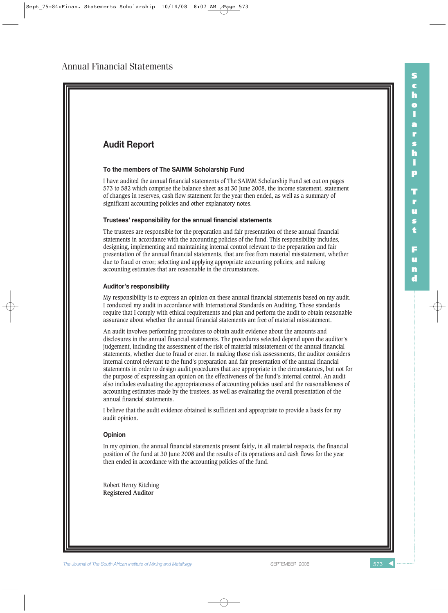

**The Journal of The South African Institute of Mining and Metallurgy Separate Separate SEPTEMBER 2008 573 All the State State State State State State State State State State State State State State State State State State** 

**S c h o l a r s h i p**

**T r u s t**

**F u n d**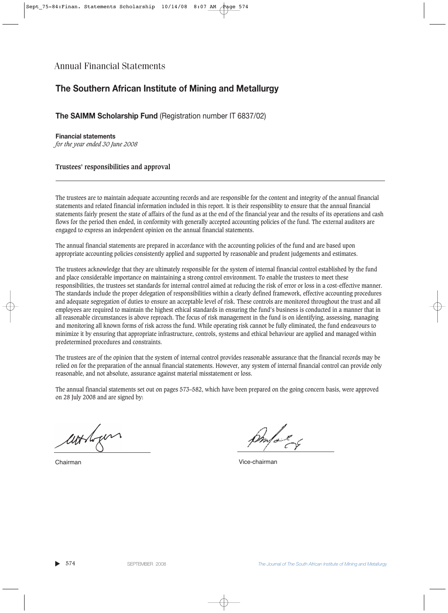## **The Southern African Institute of Mining and Metallurgy**

**The SAIMM Scholarship Fund** (Registration number IT 6837/02)

**Financial statements** *for the year ended 30 June 2008*

**Trustees' responsibilities and approval**

The trustees are to maintain adequate accounting records and are responsible for the content and integrity of the annual financial statements and related financial information included in this report. It is their responsiblity to ensure that the annual financial statements fairly present the state of affairs of the fund as at the end of the financial year and the results of its operations and cash flows for the period then ended, in conformity with generally accepted accounting policies of the fund. The external auditors are engaged to express an independent opinion on the annual financial statements.

The annual financial statements are prepared in accordance with the accounting policies of the fund and are based upon appropriate accounting policies consistently applied and supported by reasonable and prudent judgements and estimates.

The trustees acknowledge that they are ultimately responsible for the system of internal financial control established by the fund and place considerable importance on maintaining a strong control environment. To enable the trustees to meet these responsibilities, the trustees set standards for internal control aimed at reducing the risk of error or loss in a cost-effective manner. The standards include the proper delegation of responsibilities within a clearly defined framework, effective accounting procedures and adequate segregation of duties to ensure an acceptable level of risk. These controls are monitored throughout the trust and all employees are required to maintain the highest ethical standards in ensuring the fund's business is conducted in a manner that in all reasonable circumstances is above reproach. The focus of risk management in the fund is on identifying, assessing, managing and monitoring all known forms of risk across the fund. While operating risk cannot be fully eliminated, the fund endeavours to minimize it by ensuring that appropriate infrastructure, controls, systems and ethical behaviour are applied and managed within predetermined procedures and constraints.

The trustees are of the opinion that the system of internal control provides reasonable assurance that the financial records may be relied on for the preparation of the annual financial statements. However, any system of internal financial control can provide only reasonable, and not absolute, assurance against material misstatement or loss.

The annual financial statements set out on pages 573–582, which have been prepared on the going concern basis, were approved on 28 July 2008 and are signed by:

worken

Chairman Vice-chairman

▲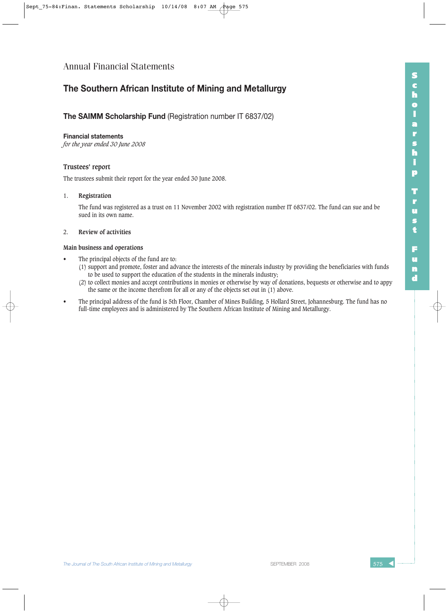### **The Southern African Institute of Mining and Metallurgy**

#### **The SAIMM Scholarship Fund** (Registration number IT 6837/02)

#### **Financial statements**

*for the year ended 30 June 2008*

#### **Trustees' report**

The trustees submit their report for the year ended 30 June 2008.

#### 1. **Registration**

The fund was registered as a trust on 11 November 2002 with registration number IT 6837/02. The fund can sue and be sued in its own name.

#### 2. **Review of activities**

#### **Main business and operations**

- The principal objects of the fund are to:
	- (1) support and promote, foster and advance the interests of the minerals industry by providing the beneficiaries with funds to be used to support the education of the students in the minerals industry;
	- (2) to collect monies and accept contributions in monies or otherwise by way of donations, bequests or otherwise and to appy the same or the income therefrom for all or any of the objects set out in (1) above.
- The principal address of the fund is 5th Floor, Chamber of Mines Building, 5 Hollard Street, Johannesburg. The fund has no full-time employees and is administered by The Southern African Institute of Mining and Metallurgy.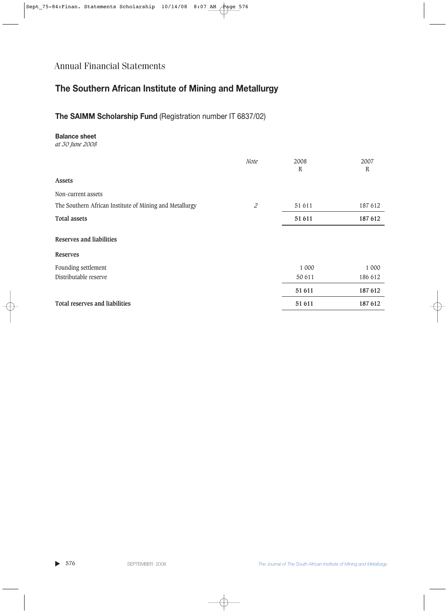# **The Southern African Institute of Mining and Metallurgy**

### **The SAIMM Scholarship Fund** (Registration number IT 6837/02)

#### **Balance sheet**

*at 30 June 2008*

|                                                         | Note                        | 2008<br>R | 2007<br>R |
|---------------------------------------------------------|-----------------------------|-----------|-----------|
| <b>Assets</b>                                           |                             |           |           |
| Non-current assets                                      |                             |           |           |
| The Southern African Institute of Mining and Metallurgy | $\mathcal{Z}_{\mathcal{C}}$ | 51 611    | 187 612   |
| <b>Total assets</b>                                     |                             | 51 611    | 187 612   |
| <b>Reserves and liabilities</b>                         |                             |           |           |
| <b>Reserves</b>                                         |                             |           |           |
| Founding settlement                                     |                             | 1 000     | 1 000     |
| Distributable reserve                                   |                             | 50 611    | 186 612   |
|                                                         |                             | 51 611    | 187 612   |
| Total reserves and liabilities                          |                             | 51 611    | 187 612   |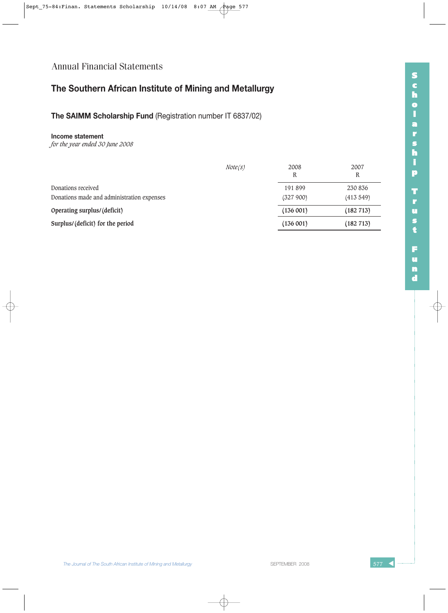## **The Southern African Institute of Mining and Metallurgy**

**The SAIMM Scholarship Fund** (Registration number IT 6837/02)

#### **Income statement**

|                                            | Note(s) | 2008<br>R | 2007<br>R |
|--------------------------------------------|---------|-----------|-----------|
| Donations received                         |         | 191 899   | 230 836   |
| Donations made and administration expenses |         | (327900)  | (413549)  |
| Operating surplus/(deficit)                |         | (136001)  | (182 713) |
| Surplus/(deficit) for the period           |         | (136001)  | (182 713) |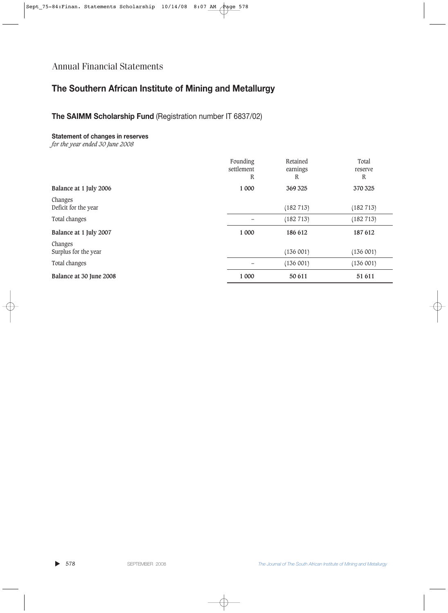## **The Southern African Institute of Mining and Metallurgy**

### **The SAIMM Scholarship Fund** (Registration number IT 6837/02)

#### **Statement of changes in reserves**

|                                 | Founding<br>settlement<br>R | Retained<br>earnings<br>R | Total<br>reserve<br>R |
|---------------------------------|-----------------------------|---------------------------|-----------------------|
| Balance at 1 July 2006          | 1 000                       | 369 325                   | 370 325               |
| Changes<br>Deficit for the year |                             | (182 713)                 | (182 713)             |
| Total changes                   |                             | (182 713)                 | (182 713)             |
| Balance at 1 July 2007          | 1 000                       | 186 612                   | 187 612               |
| Changes<br>Surplus for the year |                             | (136001)                  | (136001)              |
| Total changes                   |                             | (136001)                  | (136001)              |
| Balance at 30 June 2008         | 1 000                       | 50 611                    | 51 611                |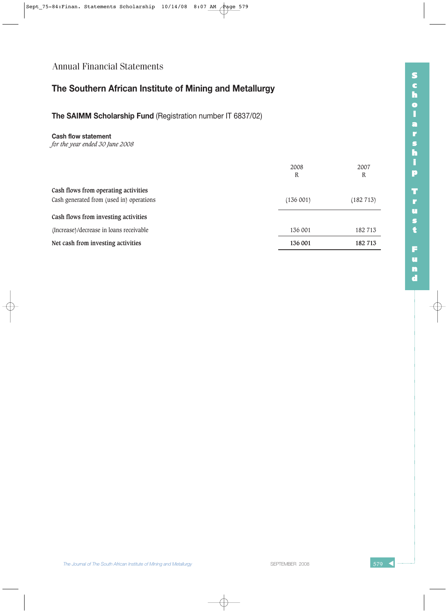## **The Southern African Institute of Mining and Metallurgy**

**The SAIMM Scholarship Fund** (Registration number IT 6837/02)

#### **Cash flow statement**

|                                          | 2008     | 2007      |
|------------------------------------------|----------|-----------|
|                                          | R        | R         |
| Cash flows from operating activities     |          |           |
| Cash generated from (used in) operations | (136001) | (182 713) |
| Cash flows from investing activities     |          |           |
| (Increase)/decrease in loans receivable  | 136 001  | 182 713   |
| Net cash from investing activities       | 136 001  | 182 713   |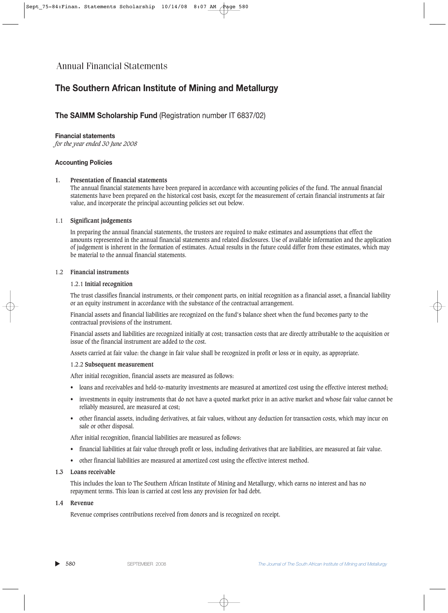### **The Southern African Institute of Mining and Metallurgy**

#### **The SAIMM Scholarship Fund** (Registration number IT 6837/02)

#### **Financial statements**

*for the year ended 30 June 2008*

#### **Accounting Policies**

#### **1. Presentation of financial statements**

The annual financial statements have been prepared in accordance with accounting policies of the fund. The annual financial statements have been prepared on the historical cost basis, except for the measurement of certain financial instruments at fair value, and incorporate the principal accounting policies set out below.

#### 1.1 **Significant judgements**

In preparing the annual financial statements, the trustees are required to make estimates and assumptions that effect the amounts represented in the annual financial statements and related disclosures. Use of available information and the application of judgement is inherent in the formation of estimates. Actual results in the future could differ from these estimates, which may be material to the annual financial statements.

#### 1.2 **Financial instruments**

#### 1.2.1 **Initial recognition**

The trust classifies financial instruments, or their component parts, on initial recognition as a financial asset, a financial liability or an equity instrument in accordance with the substance of the contractual arrangement.

Financial assets and financial liabilities are recognized on the fund's balance sheet when the fund becomes party to the contractual provisions of the instrument.

Financial assets and liabilities are recognized initially at cost; transaction costs that are directly attributable to the acquisition or issue of the financial instrument are added to the cost.

Assets carried at fair value: the change in fair value shall be recognized in profit or loss or in equity, as appropriate.

#### 1.2.2 **Subsequent measurement**

After initial recognition, financial assets are measured as follows:

- loans and receivables and held-to-maturity investments are measured at amortized cost using the effective interest method;
- investments in equity instruments that do not have a quoted market price in an active market and whose fair value cannot be reliably measured, are measured at cost;
- other financial assets, including derivatives, at fair values, without any deduction for transaction costs, which may incur on sale or other disposal.

After initial recognition, financial liabilities are measured as follows:

- financial liabilities at fair value through profit or loss, including derivatives that are liabilities, are measured at fair value.
- other financial liabilities are measured at amortized cost using the effective interest method.

#### **1.3 Loans receivable**

This includes the loan to The Southern African Institute of Mining and Metallurgy, which earns no interest and has no repayment terms. This loan is carried at cost less any provision for bad debt.

#### **1.4 Revenue**

Revenue comprises contributions received from donors and is recognized on receipt.

▲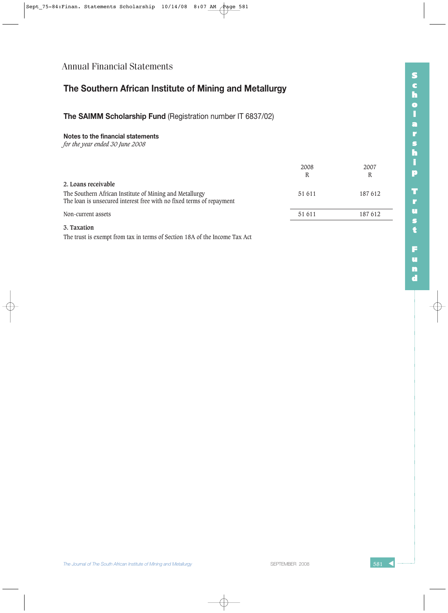## **The Southern African Institute of Mining and Metallurgy**

### **The SAIMM Scholarship Fund** (Registration number IT 6837/02)

#### **Notes to the financial statements**

*for the year ended 30 June 2008*

|                                                                                                                                 | 2008<br>R | 2007<br>R |
|---------------------------------------------------------------------------------------------------------------------------------|-----------|-----------|
| 2. Loans receivable                                                                                                             |           |           |
| The Southern African Institute of Mining and Metallurgy<br>The loan is unsecured interest free with no fixed terms of repayment | 51 611    | 187612    |
| Non-current assets                                                                                                              | 51 611    | 187612    |
| 3. Taxation                                                                                                                     |           |           |

The trust is exempt from tax in terms of Section 18A of the Income Tax Act